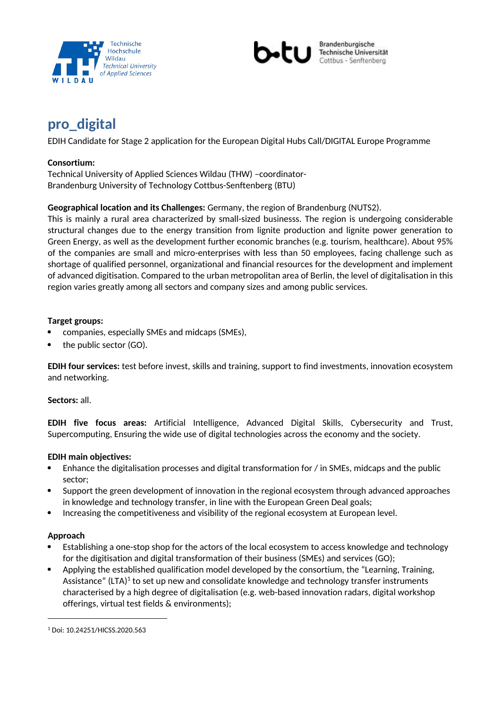



# **pro\_digital**

EDIH Candidate for Stage 2 application for the European Digital Hubs Call/DIGITAL Europe Programme

# **Consortium:**

Technical University of Applied Sciences Wildau (THW) –coordinator-Brandenburg University of Technology Cottbus-Senftenberg (BTU)

# **Geographical location and its Challenges:** Germany, the region of Brandenburg (NUTS2).

This is mainly a rural area characterized by small-sized businesss. The region is undergoing considerable structural changes due to the energy transition from lignite production and lignite power generation to Green Energy, as well as the development further economic branches (e.g. tourism, healthcare). About 95% of the companies are small and micro-enterprises with less than 50 employees, facing challenge such as shortage of qualified personnel, organizational and financial resources for the development and implement of advanced digitisation. Compared to the urban metropolitan area of Berlin, the level of digitalisation in this region varies greatly among all sectors and company sizes and among public services.

# **Target groups:**

- companies, especially SMEs and midcaps (SMEs),
- the public sector (GO).

**EDIH four services:** test before invest, skills and training, support to find investments, innovation ecosystem and networking.

#### **Sectors:** all.

**EDIH five focus areas:** Artificial Intelligence, Advanced Digital Skills, Cybersecurity and Trust, Supercomputing, Ensuring the wide use of digital technologies across the economy and the society.

#### **EDIH main objectives:**

- Enhance the digitalisation processes and digital transformation for / in SMEs, midcaps and the public sector;
- Support the green development of innovation in the regional ecosystem through advanced approaches in knowledge and technology transfer, in line with the European Green Deal goals;
- Increasing the competitiveness and visibility of the regional ecosystem at European level.

#### **Approach**

- Establishing a one-stop shop for the actors of the local ecosystem to access knowledge and technology for the digitisation and digital transformation of their business (SMEs) and services (GO);
- Applying the established qualification model developed by the consortium, the "Learning, Training, Assistance" (LTA) $^{\rm 1}$  to set up new and consolidate knowledge and technology transfer instruments characterised by a high degree of digitalisation (e.g. web-based innovation radars, digital workshop offerings, virtual test fields & environments);

<sup>1</sup> Doi: 10.24251/HICSS.2020.563